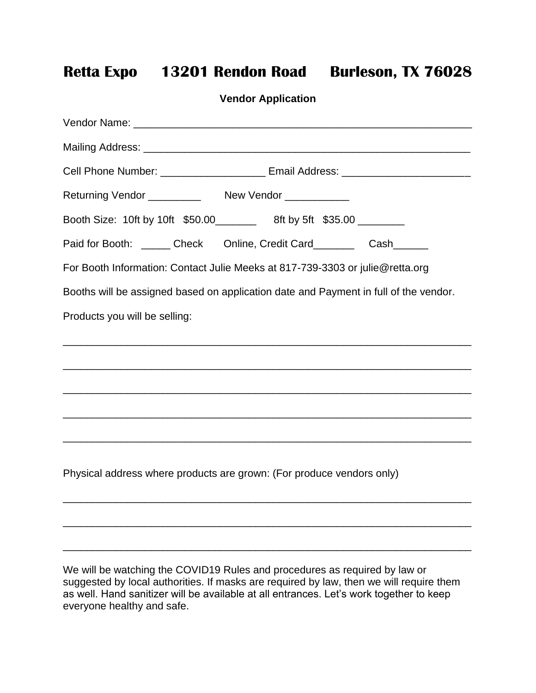## **Retta Expo 13201 Rendon Road Burleson, TX 76028**

| <b>Vendor Application</b>                                                                                      |
|----------------------------------------------------------------------------------------------------------------|
| Vendor Name: Vendor Name: Vendor Name: Vendor Name: Vendor Name: Vendor Name: Vendor Name: Vendor Name: Vendor |
|                                                                                                                |
| Cell Phone Number: ________________________ Email Address: _____________________                               |
|                                                                                                                |
| Booth Size: 10ft by 10ft \$50.00 _________ 8ft by 5ft \$35.00 ________                                         |
| Paid for Booth: ______ Check Online, Credit Card_______ Cash______                                             |
| For Booth Information: Contact Julie Meeks at 817-739-3303 or julie@retta.org                                  |
| Booths will be assigned based on application date and Payment in full of the vendor.                           |
| Products you will be selling:                                                                                  |
|                                                                                                                |
|                                                                                                                |
|                                                                                                                |
|                                                                                                                |
| <u> 1989 - John Stone, Amerikaansk politiker (* 1908)</u>                                                      |
|                                                                                                                |
| Physical address where products are grown: (For produce vendors only)                                          |
|                                                                                                                |
|                                                                                                                |
|                                                                                                                |

We will be watching the COVID19 Rules and procedures as required by law or suggested by local authorities. If masks are required by law, then we will require them as well. Hand sanitizer will be available at all entrances. Let's work together to keep everyone healthy and safe.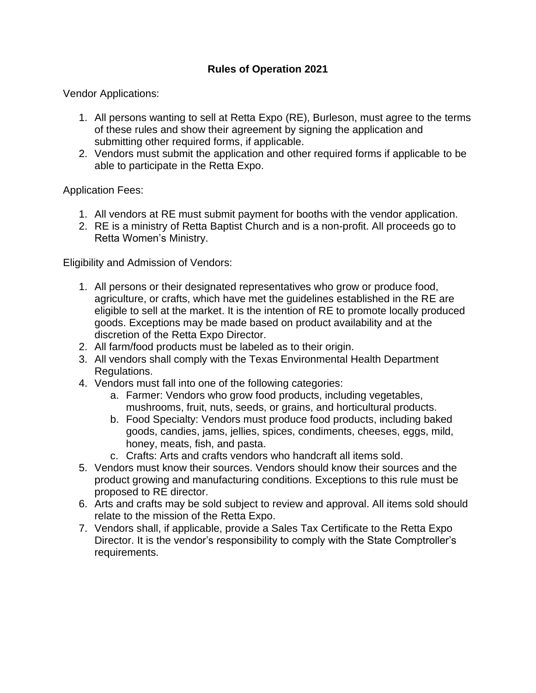## **Rules of Operation 2021**

Vendor Applications:

- 1. All persons wanting to sell at Retta Expo (RE), Burleson, must agree to the terms of these rules and show their agreement by signing the application and submitting other required forms, if applicable.
- 2. Vendors must submit the application and other required forms if applicable to be able to participate in the Retta Expo.

Application Fees:

- 1. All vendors at RE must submit payment for booths with the vendor application.
- 2. RE is a ministry of Retta Baptist Church and is a non-profit. All proceeds go to Retta Women's Ministry.

Eligibility and Admission of Vendors:

- 1. All persons or their designated representatives who grow or produce food, agriculture, or crafts, which have met the guidelines established in the RE are eligible to sell at the market. It is the intention of RE to promote locally produced goods. Exceptions may be made based on product availability and at the discretion of the Retta Expo Director.
- 2. All farm/food products must be labeled as to their origin.
- 3. All vendors shall comply with the Texas Environmental Health Department Regulations.
- 4. Vendors must fall into one of the following categories:
	- a. Farmer: Vendors who grow food products, including vegetables, mushrooms, fruit, nuts, seeds, or grains, and horticultural products.
	- b. Food Specialty: Vendors must produce food products, including baked goods, candies, jams, jellies, spices, condiments, cheeses, eggs, mild, honey, meats, fish, and pasta.
	- c. Crafts: Arts and crafts vendors who handcraft all items sold.
- 5. Vendors must know their sources. Vendors should know their sources and the product growing and manufacturing conditions. Exceptions to this rule must be proposed to RE director.
- 6. Arts and crafts may be sold subject to review and approval. All items sold should relate to the mission of the Retta Expo.
- 7. Vendors shall, if applicable, provide a Sales Tax Certificate to the Retta Expo Director. It is the vendor's responsibility to comply with the State Comptroller's requirements.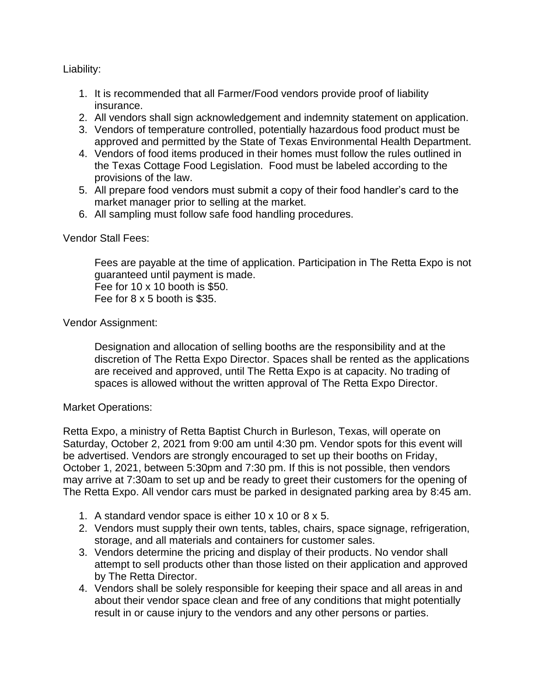Liability:

- 1. It is recommended that all Farmer/Food vendors provide proof of liability insurance.
- 2. All vendors shall sign acknowledgement and indemnity statement on application.
- 3. Vendors of temperature controlled, potentially hazardous food product must be approved and permitted by the State of Texas Environmental Health Department.
- 4. Vendors of food items produced in their homes must follow the rules outlined in the Texas Cottage Food Legislation. Food must be labeled according to the provisions of the law.
- 5. All prepare food vendors must submit a copy of their food handler's card to the market manager prior to selling at the market.
- 6. All sampling must follow safe food handling procedures.

Vendor Stall Fees:

Fees are payable at the time of application. Participation in The Retta Expo is not guaranteed until payment is made. Fee for 10 x 10 booth is \$50. Fee for 8 x 5 booth is \$35.

Vendor Assignment:

Designation and allocation of selling booths are the responsibility and at the discretion of The Retta Expo Director. Spaces shall be rented as the applications are received and approved, until The Retta Expo is at capacity. No trading of spaces is allowed without the written approval of The Retta Expo Director.

Market Operations:

Retta Expo, a ministry of Retta Baptist Church in Burleson, Texas, will operate on Saturday, October 2, 2021 from 9:00 am until 4:30 pm. Vendor spots for this event will be advertised. Vendors are strongly encouraged to set up their booths on Friday, October 1, 2021, between 5:30pm and 7:30 pm. If this is not possible, then vendors may arrive at 7:30am to set up and be ready to greet their customers for the opening of The Retta Expo. All vendor cars must be parked in designated parking area by 8:45 am.

- 1. A standard vendor space is either 10 x 10 or 8 x 5.
- 2. Vendors must supply their own tents, tables, chairs, space signage, refrigeration, storage, and all materials and containers for customer sales.
- 3. Vendors determine the pricing and display of their products. No vendor shall attempt to sell products other than those listed on their application and approved by The Retta Director.
- 4. Vendors shall be solely responsible for keeping their space and all areas in and about their vendor space clean and free of any conditions that might potentially result in or cause injury to the vendors and any other persons or parties.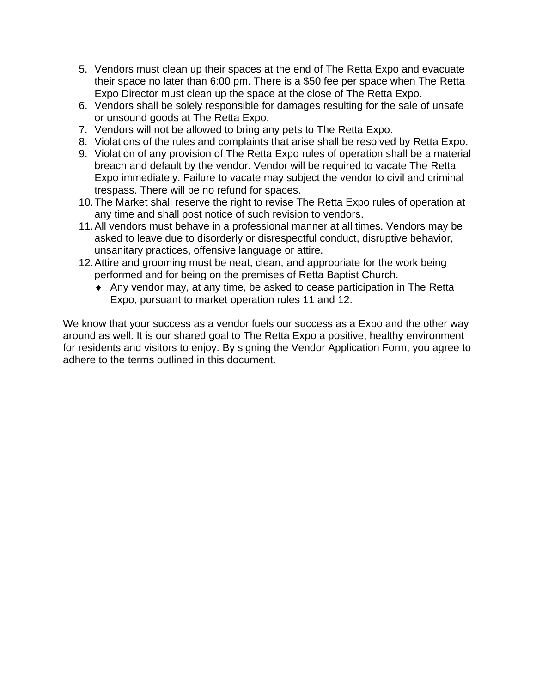- 5. Vendors must clean up their spaces at the end of The Retta Expo and evacuate their space no later than 6:00 pm. There is a \$50 fee per space when The Retta Expo Director must clean up the space at the close of The Retta Expo.
- 6. Vendors shall be solely responsible for damages resulting for the sale of unsafe or unsound goods at The Retta Expo.
- 7. Vendors will not be allowed to bring any pets to The Retta Expo.
- 8. Violations of the rules and complaints that arise shall be resolved by Retta Expo.
- 9. Violation of any provision of The Retta Expo rules of operation shall be a material breach and default by the vendor. Vendor will be required to vacate The Retta Expo immediately. Failure to vacate may subject the vendor to civil and criminal trespass. There will be no refund for spaces.
- 10.The Market shall reserve the right to revise The Retta Expo rules of operation at any time and shall post notice of such revision to vendors.
- 11.All vendors must behave in a professional manner at all times. Vendors may be asked to leave due to disorderly or disrespectful conduct, disruptive behavior, unsanitary practices, offensive language or attire.
- 12.Attire and grooming must be neat, clean, and appropriate for the work being performed and for being on the premises of Retta Baptist Church.
	- Any vendor may, at any time, be asked to cease participation in The Retta Expo, pursuant to market operation rules 11 and 12.

We know that your success as a vendor fuels our success as a Expo and the other way around as well. It is our shared goal to The Retta Expo a positive, healthy environment for residents and visitors to enjoy. By signing the Vendor Application Form, you agree to adhere to the terms outlined in this document.